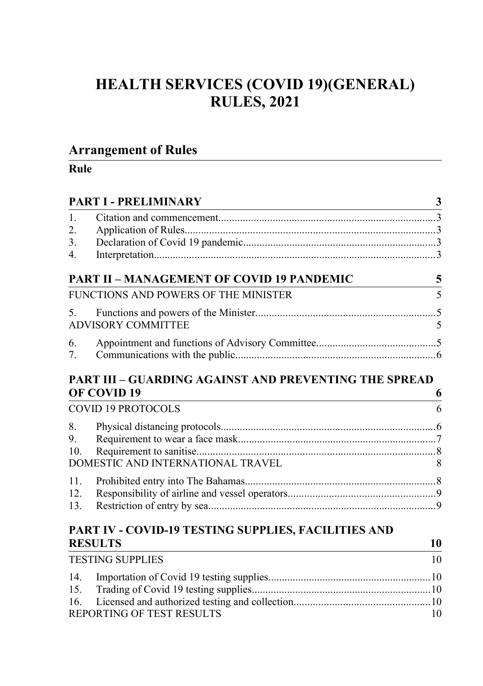# **HEALTH SERVICES (COVID 19)(GENERAL) RULES, 2021**

## **Arrangement of Rules**

| <b>PART I - PRELIMINARY</b><br>3 |                                                                             |    |
|----------------------------------|-----------------------------------------------------------------------------|----|
| $\mathbf{1}$ .<br>2.             |                                                                             |    |
| 3 <sub>1</sub><br>4.             |                                                                             |    |
|                                  | <b>PART II - MANAGEMENT OF COVID 19 PANDEMIC</b>                            | 5  |
|                                  | FUNCTIONS AND POWERS OF THE MINISTER                                        | 5  |
| 5.                               | <b>ADVISORY COMMITTEE</b>                                                   | 5  |
| 6.<br>7.                         |                                                                             |    |
|                                  | <b>PART III - GUARDING AGAINST AND PREVENTING THE SPREAD</b><br>OF COVID 19 | 6  |
|                                  | <b>COVID 19 PROTOCOLS</b>                                                   | 6  |
| 8.<br>9.<br>10.                  | DOMESTIC AND INTERNATIONAL TRAVEL                                           | 8  |
| 11<br>12.<br>13.                 |                                                                             |    |
|                                  | PART IV - COVID-19 TESTING SUPPLIES, FACILITIES AND<br><b>RESULTS</b>       | 10 |
|                                  | <b>TESTING SUPPLIES</b>                                                     | 10 |

| TESTING SUITEILS          |     |
|---------------------------|-----|
|                           |     |
|                           |     |
|                           |     |
| REPORTING OF TEST RESULTS | 10. |
|                           |     |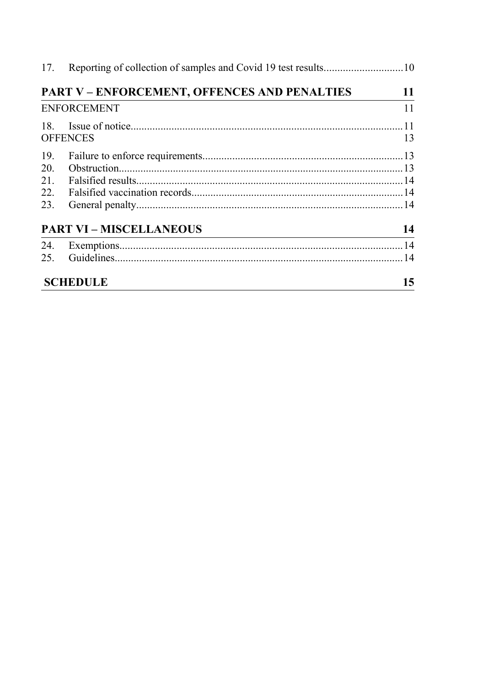|                    | <b>PART V - ENFORCEMENT, OFFENCES AND PENALTIES</b>                                                                                                                                                                                                             | 11 |
|--------------------|-----------------------------------------------------------------------------------------------------------------------------------------------------------------------------------------------------------------------------------------------------------------|----|
| <b>ENFORCEMENT</b> |                                                                                                                                                                                                                                                                 |    |
|                    |                                                                                                                                                                                                                                                                 |    |
|                    | <b>OFFENCES</b>                                                                                                                                                                                                                                                 | 13 |
| 19.                |                                                                                                                                                                                                                                                                 |    |
| 20.                |                                                                                                                                                                                                                                                                 |    |
| 21.                |                                                                                                                                                                                                                                                                 |    |
| 22.                |                                                                                                                                                                                                                                                                 |    |
| 23.                |                                                                                                                                                                                                                                                                 |    |
|                    | <b>PART VI - MISCELLANEOUS</b><br>the control of the control of the control of the control of the control of the control of the control of the control of the control of the control of the control of the control of the control of the control of the control | 14 |
|                    |                                                                                                                                                                                                                                                                 |    |
|                    |                                                                                                                                                                                                                                                                 |    |
|                    | <b>SCHEDULE</b>                                                                                                                                                                                                                                                 | 15 |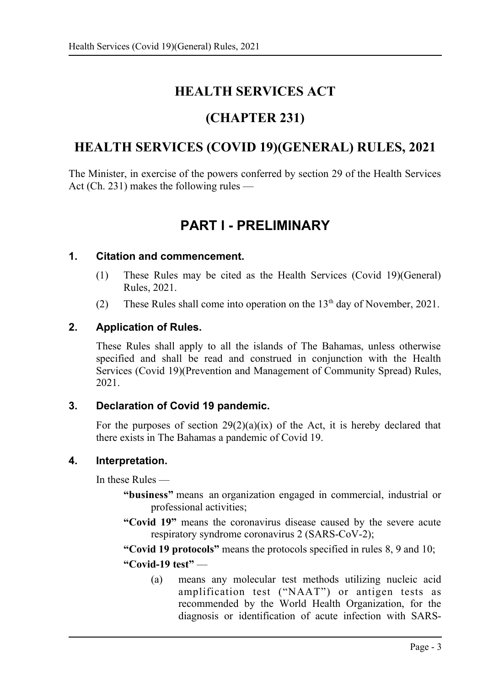# **HEALTH SERVICES ACT**

# **(CHAPTER 231)**

# **HEALTH SERVICES (COVID 19)(GENERAL) RULES, 2021**

The Minister, in exercise of the powers conferred by section 29 of the Health Services Act (Ch. 231) makes the following rules —

# <span id="page-2-0"></span>**PART I - PRELIMINARY**

#### **1. Citation and commencement.**

- <span id="page-2-4"></span>(1) These Rules may be cited as the Health Services (Covid 19)(General) Rules, 2021.
- (2) These Rules shall come into operation on the  $13<sup>th</sup>$  day of November, 2021.

### **2. Application of Rules.**

<span id="page-2-3"></span>These Rules shall apply to all the islands of The Bahamas, unless otherwise specified and shall be read and construed in conjunction with the Health Services (Covid 19)(Prevention and Management of Community Spread) Rules, 2021.

#### **3. Declaration of Covid 19 pandemic.**

<span id="page-2-2"></span>For the purposes of section  $29(2)(a)(ix)$  of the Act, it is hereby declared that there exists in The Bahamas a pandemic of Covid 19.

#### **4. Interpretation.**

<span id="page-2-1"></span>In these Rules —

- **"business"** means an organization engaged in commercial, industrial or professional activities;
- **"Covid 19"** means the coronavirus disease caused by the severe acute respiratory syndrome coronavirus 2 (SARS-CoV-2);

**"Covid 19 protocols"** means the protocols specified in rules [8,](#page-5-0) [9](#page-6-0) and [10;](#page-7-3) **"Covid-19 test"** —

(a) means any molecular test methods utilizing nucleic acid amplification test ("NAAT") or antigen tests as recommended by the World Health Organization, for the diagnosis or identification of acute infection with SARS-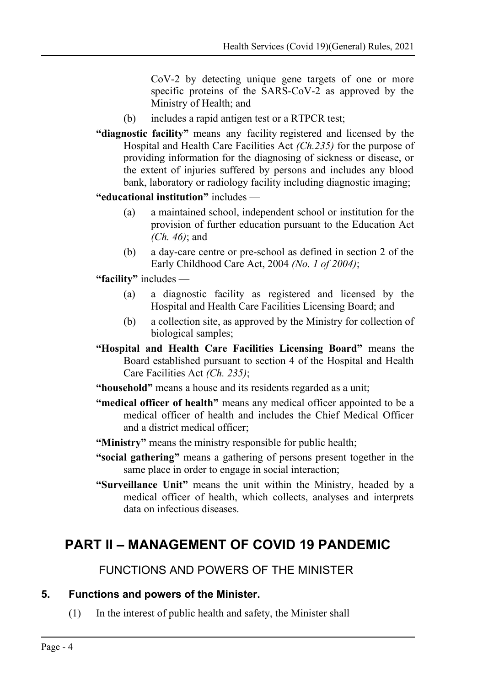CoV-2 by detecting unique gene targets of one or more specific proteins of the SARS-CoV-2 as approved by the Ministry of Health; and

- (b) includes a rapid antigen test or a RTPCR test;
- **"diagnostic facility"** means any facility registered and licensed by the Hospital and Health Care Facilities Act *(Ch.235)* for the purpose of providing information for the diagnosing of sickness or disease, or the extent of injuries suffered by persons and includes any blood bank, laboratory or radiology facility including diagnostic imaging;
- **"educational institution"** includes
	- (a) a maintained school, independent school or institution for the provision of further education pursuant to the Education Act *(Ch. 46)*; and
	- (b) a day-care centre or pre-school as defined in section 2 of the Early Childhood Care Act, 2004 *(No. 1 of 2004)*;

**"facility"** includes —

- (a) a diagnostic facility as registered and licensed by the Hospital and Health Care Facilities Licensing Board; and
- (b) a collection site, as approved by the Ministry for collection of biological samples;
- **"Hospital and Health Care Facilities Licensing Board"** means the Board established pursuant to section 4 of the Hospital and Health Care Facilities Act *(Ch. 235)*;

**"household"** means a house and its residents regarded as a unit;

- **"medical officer of health"** means any medical officer appointed to be a medical officer of health and includes the Chief Medical Officer and a district medical officer;
- **"Ministry"** means the ministry responsible for public health;
- **"social gathering"** means a gathering of persons present together in the same place in order to engage in social interaction;
- **"Surveillance Unit"** means the unit within the Ministry, headed by a medical officer of health, which collects, analyses and interprets data on infectious diseases.

# <span id="page-3-2"></span>**PART II – MANAGEMENT OF COVID 19 PANDEMIC**

<span id="page-3-1"></span>FUNCTIONS AND POWERS OF THE MINISTER

### **5. Functions and powers of the Minister.**

<span id="page-3-0"></span>(1) In the interest of public health and safety, the Minister shall —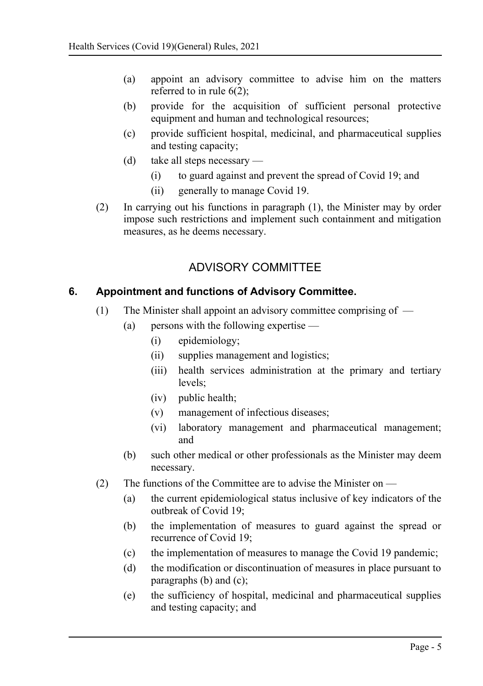- (a) appoint an advisory committee to advise him on the matters referred to in rule  $6(2)$ .
- (b) provide for the acquisition of sufficient personal protective equipment and human and technological resources;
- (c) provide sufficient hospital, medicinal, and pharmaceutical supplies and testing capacity;
- (d) take all steps necessary
	- (i) to guard against and prevent the spread of Covid 19; and
	- (ii) generally to manage Covid 19.
- (2) In carrying out his functions in paragraph (1), the Minister may by order impose such restrictions and implement such containment and mitigation measures, as he deems necessary.

## <span id="page-4-1"></span>ADVISORY COMMITTEE

### **6. Appointment and functions of Advisory Committee.**

- <span id="page-4-0"></span>(1) The Minister shall appoint an advisory committee comprising of —
	- (a) persons with the following expertise
		- (i) epidemiology;
		- (ii) supplies management and logistics;
		- (iii) health services administration at the primary and tertiary levels;
		- (iv) public health;
		- (v) management of infectious diseases;
		- (vi) laboratory management and pharmaceutical management; and
	- (b) such other medical or other professionals as the Minister may deem necessary.
- (2) The functions of the Committee are to advise the Minister on  $-$ 
	- (a) the current epidemiological status inclusive of key indicators of the outbreak of Covid 19;
	- (b) the implementation of measures to guard against the spread or recurrence of Covid 19;
	- (c) the implementation of measures to manage the Covid 19 pandemic;
	- (d) the modification or discontinuation of measures in place pursuant to paragraphs (b) and (c);
	- (e) the sufficiency of hospital, medicinal and pharmaceutical supplies and testing capacity; and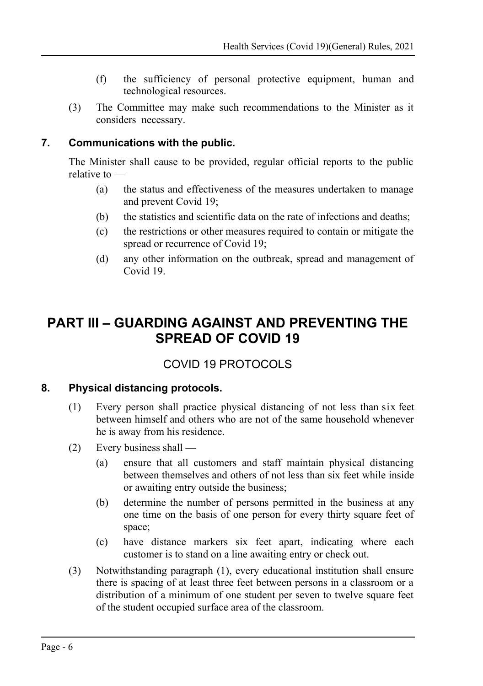- (f) the sufficiency of personal protective equipment, human and technological resources.
- (3) The Committee may make such recommendations to the Minister as it considers necessary.

### **7. Communications with the public.**

<span id="page-5-3"></span>The Minister shall cause to be provided, regular official reports to the public relative to —

- (a) the status and effectiveness of the measures undertaken to manage and prevent Covid 19;
- (b) the statistics and scientific data on the rate of infections and deaths;
- (c) the restrictions or other measures required to contain or mitigate the spread or recurrence of Covid 19;
- (d) any other information on the outbreak, spread and management of Covid 19.

# <span id="page-5-2"></span>**PART III – GUARDING AGAINST AND PREVENTING THE SPREAD OF COVID 19**

## <span id="page-5-1"></span>COVID 19 PROTOCOLS

### **8. Physical distancing protocols.**

- <span id="page-5-0"></span>(1) Every person shall practice physical distancing of not less than six feet between himself and others who are not of the same household whenever he is away from his residence.
- (2) Every business shall
	- (a) ensure that all customers and staff maintain physical distancing between themselves and others of not less than six feet while inside or awaiting entry outside the business;
	- (b) determine the number of persons permitted in the business at any one time on the basis of one person for every thirty square feet of space;
	- (c) have distance markers six feet apart, indicating where each customer is to stand on a line awaiting entry or check out.
- (3) Notwithstanding paragraph (1), every educational institution shall ensure there is spacing of at least three feet between persons in a classroom or a distribution of a minimum of one student per seven to twelve square feet of the student occupied surface area of the classroom.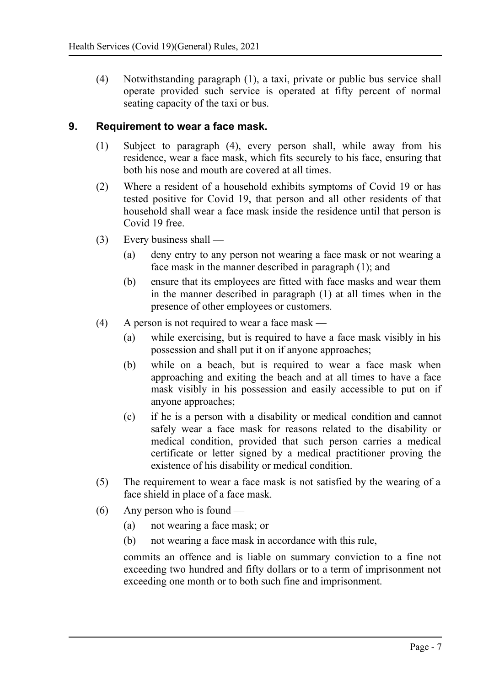(4) Notwithstanding paragraph (1), a taxi, private or public bus service shall operate provided such service is operated at fifty percent of normal seating capacity of the taxi or bus.

#### **9. Requirement to wear a face mask.**

- <span id="page-6-0"></span>(1) Subject to paragraph (4), every person shall, while away from his residence, wear a face mask, which fits securely to his face, ensuring that both his nose and mouth are covered at all times.
- (2) Where a resident of a household exhibits symptoms of Covid 19 or has tested positive for Covid 19, that person and all other residents of that household shall wear a face mask inside the residence until that person is Covid 19 free.
- (3) Every business shall
	- (a) deny entry to any person not wearing a face mask or not wearing a face mask in the manner described in paragraph (1); and
	- (b) ensure that its employees are fitted with face masks and wear them in the manner described in paragraph (1) at all times when in the presence of other employees or customers.
- (4) A person is not required to wear a face mask
	- (a) while exercising, but is required to have a face mask visibly in his possession and shall put it on if anyone approaches;
	- (b) while on a beach, but is required to wear a face mask when approaching and exiting the beach and at all times to have a face mask visibly in his possession and easily accessible to put on if anyone approaches;
	- (c) if he is a person with a disability or medical condition and cannot safely wear a face mask for reasons related to the disability or medical condition, provided that such person carries a medical certificate or letter signed by a medical practitioner proving the existence of his disability or medical condition.
- (5) The requirement to wear a face mask is not satisfied by the wearing of a face shield in place of a face mask.
- (6) Any person who is found
	- (a) not wearing a face mask; or
	- (b) not wearing a face mask in accordance with this rule,

commits an offence and is liable on summary conviction to a fine not exceeding two hundred and fifty dollars or to a term of imprisonment not exceeding one month or to both such fine and imprisonment.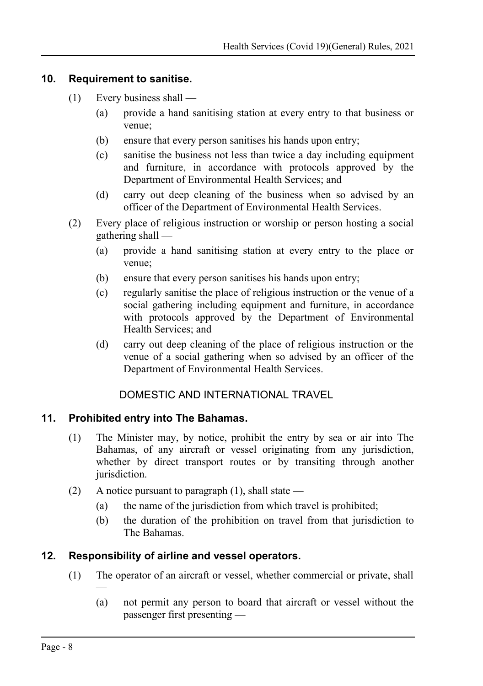#### **10. Requirement to sanitise.**

- <span id="page-7-3"></span>(1) Every business shall —
	- (a) provide a hand sanitising station at every entry to that business or venue;
	- (b) ensure that every person sanitises his hands upon entry;
	- (c) sanitise the business not less than twice a day including equipment and furniture, in accordance with protocols approved by the Department of Environmental Health Services; and
	- (d) carry out deep cleaning of the business when so advised by an officer of the Department of Environmental Health Services.
- (2) Every place of religious instruction or worship or person hosting a social gathering shall —
	- (a) provide a hand sanitising station at every entry to the place or venue;
	- (b) ensure that every person sanitises his hands upon entry;
	- (c) regularly sanitise the place of religious instruction or the venue of a social gathering including equipment and furniture, in accordance with protocols approved by the Department of Environmental Health Services; and
	- (d) carry out deep cleaning of the place of religious instruction or the venue of a social gathering when so advised by an officer of the Department of Environmental Health Services.

### <span id="page-7-2"></span>DOMESTIC AND INTERNATIONAL TRAVEL

#### **11. Prohibited entry into The Bahamas.**

- <span id="page-7-1"></span>(1) The Minister may, by notice, prohibit the entry by sea or air into The Bahamas, of any aircraft or vessel originating from any jurisdiction, whether by direct transport routes or by transiting through another jurisdiction.
- (2) A notice pursuant to paragraph  $(1)$ , shall state
	- (a) the name of the jurisdiction from which travel is prohibited;
	- (b) the duration of the prohibition on travel from that jurisdiction to The Bahamas.

### **12. Responsibility of airline and vessel operators.**

- <span id="page-7-0"></span>(1) The operator of an aircraft or vessel, whether commercial or private, shall —
	- (a) not permit any person to board that aircraft or vessel without the passenger first presenting —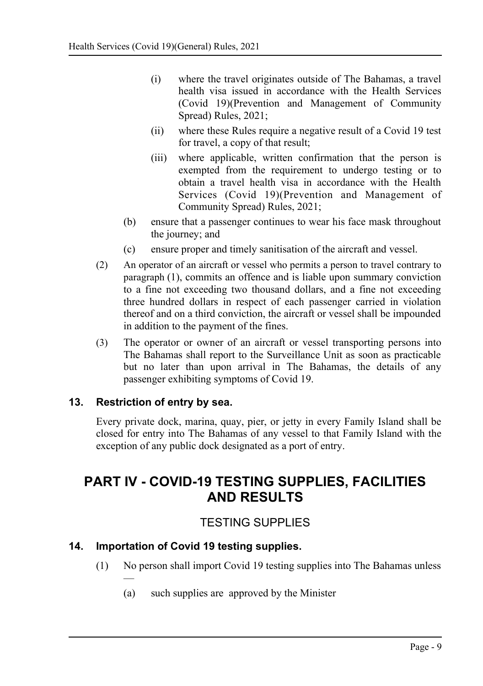- (i) where the travel originates outside of The Bahamas, a travel health visa issued in accordance with the Health Services (Covid 19)(Prevention and Management of Community Spread) Rules, 2021;
- (ii) where these Rules require a negative result of a Covid 19 test for travel, a copy of that result;
- (iii) where applicable, written confirmation that the person is exempted from the requirement to undergo testing or to obtain a travel health visa in accordance with the Health Services (Covid 19)(Prevention and Management of Community Spread) Rules, 2021;
- (b) ensure that a passenger continues to wear his face mask throughout the journey; and
- (c) ensure proper and timely sanitisation of the aircraft and vessel.
- (2) An operator of an aircraft or vessel who permits a person to travel contrary to paragraph (1), commits an offence and is liable upon summary conviction to a fine not exceeding two thousand dollars, and a fine not exceeding three hundred dollars in respect of each passenger carried in violation thereof and on a third conviction, the aircraft or vessel shall be impounded in addition to the payment of the fines.
- (3) The operator or owner of an aircraft or vessel transporting persons into The Bahamas shall report to the Surveillance Unit as soon as practicable but no later than upon arrival in The Bahamas, the details of any passenger exhibiting symptoms of Covid 19.

### **13. Restriction of entry by sea.**

—

<span id="page-8-3"></span>Every private dock, marina, quay, pier, or jetty in every Family Island shall be closed for entry into The Bahamas of any vessel to that Family Island with the exception of any public dock designated as a port of entry.

# <span id="page-8-2"></span>**PART IV - COVID-19 TESTING SUPPLIES, FACILITIES AND RESULTS**

## <span id="page-8-1"></span>TESTING SUPPLIES

### **14. Importation of Covid 19 testing supplies.**

- <span id="page-8-0"></span>(1) No person shall import Covid 19 testing supplies into The Bahamas unless
	- (a) such supplies are approved by the Minister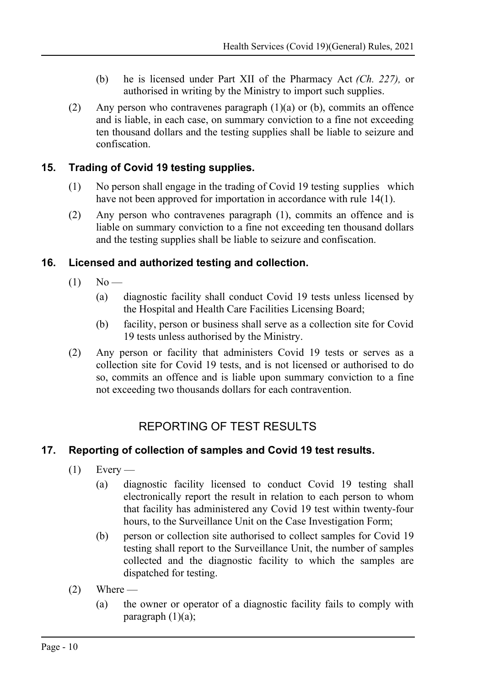- (b) he is licensed under Part XII of the Pharmacy Act *(Ch. 227),* or authorised in writing by the Ministry to import such supplies.
- (2) Any person who contravenes paragraph (1)(a) or (b), commits an offence and is liable, in each case, on summary conviction to a fine not exceeding ten thousand dollars and the testing supplies shall be liable to seizure and confiscation.

## **15. Trading of Covid 19 testing supplies.**

- <span id="page-9-2"></span>(1) No person shall engage in the trading of Covid 19 testing supplies which have not been approved for importation in accordance with rule [14\(](#page-8-0)1).
- (2) Any person who contravenes paragraph (1), commits an offence and is liable on summary conviction to a fine not exceeding ten thousand dollars and the testing supplies shall be liable to seizure and confiscation.

## **16. Licensed and authorized testing and collection.**

- <span id="page-9-1"></span> $(1)$  No —
	- (a) diagnostic facility shall conduct Covid 19 tests unless licensed by the Hospital and Health Care Facilities Licensing Board;
	- (b) facility, person or business shall serve as a collection site for Covid 19 tests unless authorised by the Ministry.
- (2) Any person or facility that administers Covid 19 tests or serves as a collection site for Covid 19 tests, and is not licensed or authorised to do so, commits an offence and is liable upon summary conviction to a fine not exceeding two thousands dollars for each contravention.

## <span id="page-9-0"></span>REPORTING OF TEST RESULTS

## **17. Reporting of collection of samples and Covid 19 test results.**

- <span id="page-9-3"></span> $(1)$  Every —
	- (a) diagnostic facility licensed to conduct Covid 19 testing shall electronically report the result in relation to each person to whom that facility has administered any Covid 19 test within twenty-four hours, to the Surveillance Unit on the Case Investigation Form;
	- (b) person or collection site authorised to collect samples for Covid 19 testing shall report to the Surveillance Unit, the number of samples collected and the diagnostic facility to which the samples are dispatched for testing.
- $(2)$  Where
	- (a) the owner or operator of a diagnostic facility fails to comply with paragraph  $(1)(a)$ ;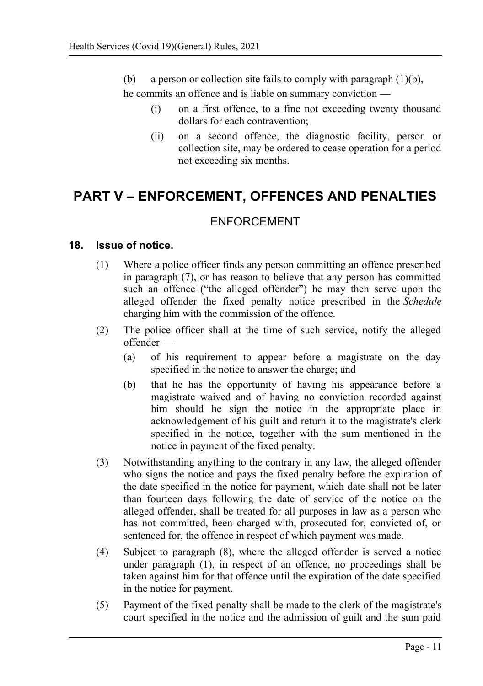(b) a person or collection site fails to comply with paragraph  $(1)(b)$ ,

he commits an offence and is liable on summary conviction —

- (i) on a first offence, to a fine not exceeding twenty thousand dollars for each contravention;
- (ii) on a second offence, the diagnostic facility, person or collection site, may be ordered to cease operation for a period not exceeding six months.

# <span id="page-10-2"></span>**PART V – ENFORCEMENT, OFFENCES AND PENALTIES**

## <span id="page-10-1"></span>ENFORCEMENT

#### **18. Issue of notice.**

- <span id="page-10-0"></span>(1) Where a police officer finds any person committing an offence prescribed in paragraph (7), or has reason to believe that any person has committed such an offence ("the alleged offender") he may then serve upon the alleged offender the fixed penalty notice prescribed in the *Schedule* charging him with the commission of the offence.
- (2) The police officer shall at the time of such service, notify the alleged offender —
	- (a) of his requirement to appear before a magistrate on the day specified in the notice to answer the charge; and
	- (b) that he has the opportunity of having his appearance before a magistrate waived and of having no conviction recorded against him should he sign the notice in the appropriate place in acknowledgement of his guilt and return it to the magistrate's clerk specified in the notice, together with the sum mentioned in the notice in payment of the fixed penalty.
- (3) Notwithstanding anything to the contrary in any law, the alleged offender who signs the notice and pays the fixed penalty before the expiration of the date specified in the notice for payment, which date shall not be later than fourteen days following the date of service of the notice on the alleged offender, shall be treated for all purposes in law as a person who has not committed, been charged with, prosecuted for, convicted of, or sentenced for, the offence in respect of which payment was made.
- (4) Subject to paragraph (8), where the alleged offender is served a notice under paragraph (1), in respect of an offence, no proceedings shall be taken against him for that offence until the expiration of the date specified in the notice for payment.
- (5) Payment of the fixed penalty shall be made to the clerk of the magistrate's court specified in the notice and the admission of guilt and the sum paid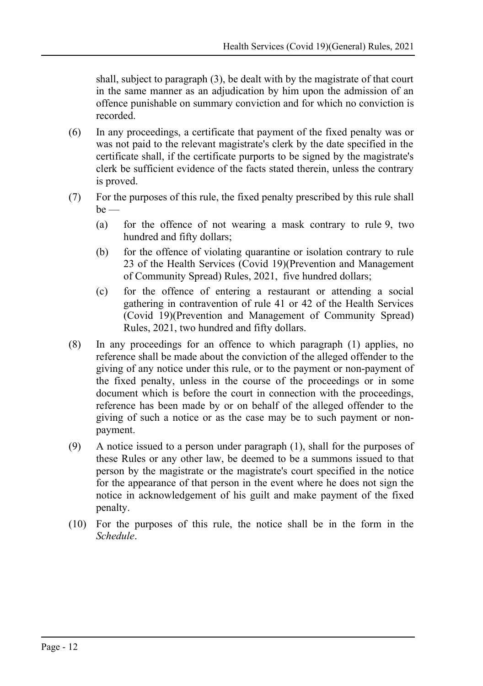shall, subject to paragraph (3), be dealt with by the magistrate of that court in the same manner as an adjudication by him upon the admission of an offence punishable on summary conviction and for which no conviction is recorded.

- (6) In any proceedings, a certificate that payment of the fixed penalty was or was not paid to the relevant magistrate's clerk by the date specified in the certificate shall, if the certificate purports to be signed by the magistrate's clerk be sufficient evidence of the facts stated therein, unless the contrary is proved.
- (7) For the purposes of this rule, the fixed penalty prescribed by this rule shall  $be$  —
	- (a) for the offence of not wearing a mask contrary to rule [9,](#page-6-0) two hundred and fifty dollars;
	- (b) for the offence of violating quarantine or isolation contrary to rule 23 of the Health Services (Covid 19)(Prevention and Management of Community Spread) Rules, 2021, five hundred dollars;
	- (c) for the offence of entering a restaurant or attending a social gathering in contravention of rule 41 or 42 of the Health Services (Covid 19)(Prevention and Management of Community Spread) Rules, 2021, two hundred and fifty dollars.
- (8) In any proceedings for an offence to which paragraph (1) applies, no reference shall be made about the conviction of the alleged offender to the giving of any notice under this rule, or to the payment or non-payment of the fixed penalty, unless in the course of the proceedings or in some document which is before the court in connection with the proceedings, reference has been made by or on behalf of the alleged offender to the giving of such a notice or as the case may be to such payment or nonpayment.
- (9) A notice issued to a person under paragraph (1), shall for the purposes of these Rules or any other law, be deemed to be a summons issued to that person by the magistrate or the magistrate's court specified in the notice for the appearance of that person in the event where he does not sign the notice in acknowledgement of his guilt and make payment of the fixed penalty.
- (10) For the purposes of this rule, the notice shall be in the form in the *Schedule*.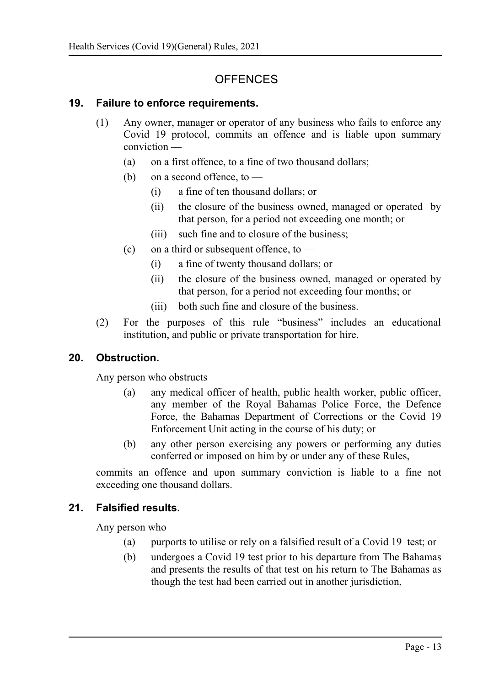## <span id="page-12-3"></span>**OFFENCES**

#### **19. Failure to enforce requirements.**

- <span id="page-12-2"></span>(1) Any owner, manager or operator of any business who fails to enforce any Covid 19 protocol, commits an offence and is liable upon summary conviction —
	- (a) on a first offence, to a fine of two thousand dollars;
	- (b) on a second offence, to  $-$ 
		- (i) a fine of ten thousand dollars; or
		- (ii) the closure of the business owned, managed or operated by that person, for a period not exceeding one month; or
		- (iii) such fine and to closure of the business;
	- (c) on a third or subsequent offence, to  $-$ 
		- (i) a fine of twenty thousand dollars; or
		- (ii) the closure of the business owned, managed or operated by that person, for a period not exceeding four months; or
		- (iii) both such fine and closure of the business.
- (2) For the purposes of this rule "business" includes an educational institution, and public or private transportation for hire.

### **20. Obstruction.**

<span id="page-12-1"></span>Any person who obstructs —

- (a) any medical officer of health, public health worker, public officer, any member of the Royal Bahamas Police Force, the Defence Force, the Bahamas Department of Corrections or the Covid 19 Enforcement Unit acting in the course of his duty; or
- (b) any other person exercising any powers or performing any duties conferred or imposed on him by or under any of these Rules,

commits an offence and upon summary conviction is liable to a fine not exceeding one thousand dollars.

### **21. Falsified results.**

<span id="page-12-0"></span>Any person who —

- (a) purports to utilise or rely on a falsified result of a Covid 19 test; or
- (b) undergoes a Covid 19 test prior to his departure from The Bahamas and presents the results of that test on his return to The Bahamas as though the test had been carried out in another jurisdiction,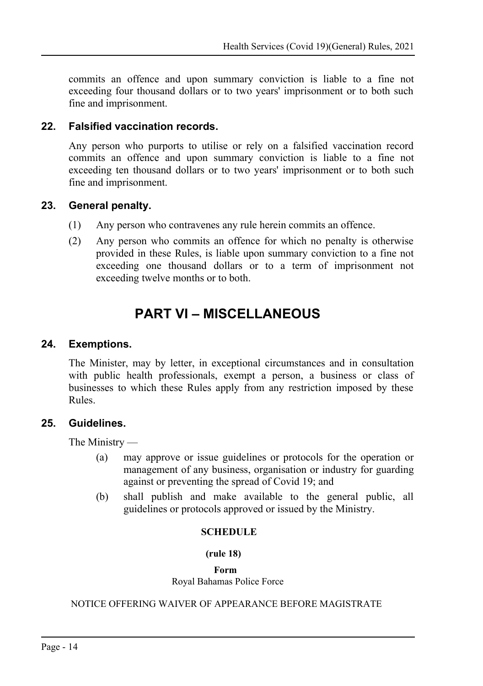commits an offence and upon summary conviction is liable to a fine not exceeding four thousand dollars or to two years' imprisonment or to both such fine and imprisonment.

#### **22. Falsified vaccination records.**

<span id="page-13-5"></span>Any person who purports to utilise or rely on a falsified vaccination record commits an offence and upon summary conviction is liable to a fine not exceeding ten thousand dollars or to two years' imprisonment or to both such fine and imprisonment.

#### **23. General penalty.**

- <span id="page-13-4"></span>(1) Any person who contravenes any rule herein commits an offence.
- (2) Any person who commits an offence for which no penalty is otherwise provided in these Rules, is liable upon summary conviction to a fine not exceeding one thousand dollars or to a term of imprisonment not exceeding twelve months or to both.

# <span id="page-13-3"></span>**PART VI – MISCELLANEOUS**

#### **24. Exemptions.**

<span id="page-13-2"></span>The Minister, may by letter, in exceptional circumstances and in consultation with public health professionals, exempt a person, a business or class of businesses to which these Rules apply from any restriction imposed by these Rules.

#### **25. Guidelines.**

<span id="page-13-1"></span>The Ministry —

- (a) may approve or issue guidelines or protocols for the operation or management of any business, organisation or industry for guarding against or preventing the spread of Covid 19; and
- (b) shall publish and make available to the general public, all guidelines or protocols approved or issued by the Ministry.

#### <span id="page-13-0"></span> **SCHEDULE**

#### **(rule [18\)](#page-10-0)**

#### **Form**

Royal Bahamas Police Force

#### NOTICE OFFERING WAIVER OF APPEARANCE BEFORE MAGISTRATE